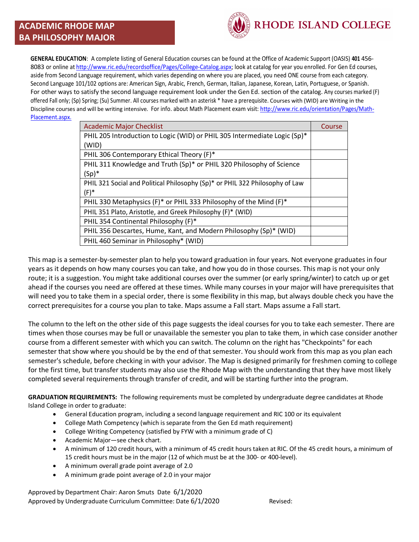## **ACADEMIC RHODE MAP BA PHILOSOPHY MAJOR**



**GENERAL EDUCATION**: A complete listing of General Education courses can be found at the Office of Academic Support (OASIS) **401** 456- 8083 or online at http://www.ric.edu/recordsoffice/Pages/College-Catalog.aspx; look at catalog for year you enrolled. For Gen Ed courses, aside from Second Language requirement, which varies depending on where you are placed, you need ONE course from each category. Second Language 101/102 options are: American Sign, Arabic, French, German, Italian, Japanese, Korean, Latin, Portuguese, or Spanish. For other ways to satisfy the second language requirement look under the Gen Ed. section of the catalog. Any courses marked (F) offered Fall only; (Sp) Spring; (Su) Summer. All courses marked with an asterisk \* have a prerequisite. Courses with (WID) are Writing in the Discipline courses and will be writing intensive. For info. about Math Placement exam visit: http://www.ric.edu/orientation/Pages/Math-Placement.aspx.

| <b>Academic Major Checklist</b>                                              | Course |
|------------------------------------------------------------------------------|--------|
| PHIL 205 Introduction to Logic (WID) or PHIL 305 Intermediate Logic (Sp)*    |        |
| (WID)                                                                        |        |
| PHIL 306 Contemporary Ethical Theory (F)*                                    |        |
| PHIL 311 Knowledge and Truth (Sp)* or PHIL 320 Philosophy of Science         |        |
| $(Sp)^*$                                                                     |        |
| PHIL 321 Social and Political Philosophy (Sp)* or PHIL 322 Philosophy of Law |        |
| $(F)^*$                                                                      |        |
| PHIL 330 Metaphysics (F)* or PHIL 333 Philosophy of the Mind (F)*            |        |
| PHIL 351 Plato, Aristotle, and Greek Philosophy (F)* (WID)                   |        |
| PHIL 354 Continental Philosophy (F)*                                         |        |
| PHIL 356 Descartes, Hume, Kant, and Modern Philosophy (Sp)* (WID)            |        |
| PHIL 460 Seminar in Philosophy* (WID)                                        |        |

This map is a semester-by-semester plan to help you toward graduation in four years. Not everyone graduates in four years as it depends on how many courses you can take, and how you do in those courses. This map is not your only route; it is a suggestion. You might take additional courses over the summer (or early spring/winter) to catch up or get ahead if the courses you need are offered at these times. While many courses in your major will have prerequisites that will need you to take them in a special order, there is some flexibility in this map, but always double check you have the correct prerequisites for a course you plan to take. Maps assume a Fall start. Maps assume a Fall start.

The column to the left on the other side of this page suggests the ideal courses for you to take each semester. There are times when those courses may be full or unavailable the semester you plan to take them, in which case consider another course from a different semester with which you can switch. The column on the right has "Checkpoints" for each semester that show where you should be by the end of that semester. You should work from this map as you plan each semester's schedule, before checking in with your advisor. The Map is designed primarily for freshmen coming to college for the first time, but transfer students may also use the Rhode Map with the understanding that they have most likely completed several requirements through transfer of credit, and will be starting further into the program.

**GRADUATION REQUIREMENTS:** The following requirements must be completed by undergraduate degree candidates at Rhode Island College in order to graduate:

- General Education program, including a second language requirement and RIC 100 or its equivalent
- College Math Competency (which is separate from the Gen Ed math requirement)
- College Writing Competency (satisfied by FYW with a minimum grade of C)
- Academic Major—see check chart.
- A minimum of 120 credit hours, with a minimum of 45 credit hours taken at RIC. Of the 45 credit hours, a minimum of 15 credit hours must be in the major (12 of which must be at the 300- or 400-level).
- A minimum overall grade point average of 2.0
- A minimum grade point average of 2.0 in your major

Approved by Department Chair: Aaron Smuts Date 6/1/2020 Approved by Undergraduate Curriculum Committee: Date 6/1/2020 Revised: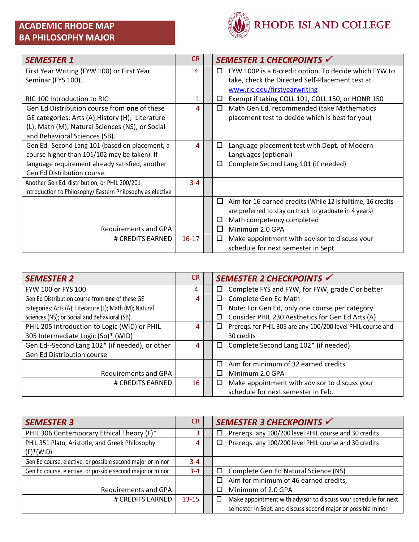

| <b>SEMESTER 1</b>                                         | <b>CR</b> | SEMESTER 1 CHECKPOINTS √                                         |
|-----------------------------------------------------------|-----------|------------------------------------------------------------------|
| First Year Writing (FYW 100) or First Year                | 4         | FYW 100P is a 6-credit option. To decide which FYW to<br>Ц       |
| Seminar (FYS 100).                                        |           | take, check the Directed Self-Placement test at                  |
|                                                           |           | www.ric.edu/firstyearwriting                                     |
| RIC 100 Introduction to RIC                               | 1         | Exempt if taking COLL 101, COLL 150, or HONR 150<br>□            |
| Gen Ed Distribution course from one of these              | 4         | Math Gen Ed. recommended (take Mathematics<br>◻                  |
| GE categories: Arts (A); History (H); Literature          |           | placement test to decide which is best for you)                  |
| (L); Math (M); Natural Sciences (NS), or Social           |           |                                                                  |
| and Behavioral Sciences (SB).                             |           |                                                                  |
| Gen Ed--Second Lang 101 (based on placement, a            | 4         | Language placement test with Dept. of Modern<br>□                |
| course higher than 101/102 may be taken). If              |           | Languages (optional)                                             |
| language requirement already satisfied, another           |           | Complete Second Lang 101 (if needed)<br>□                        |
| Gen Ed Distribution course.                               |           |                                                                  |
| Another Gen Ed. distribution, or PHIL 200/201             | $3 - 4$   |                                                                  |
| Introduction to Philosophy/Eastern Philosophy as elective |           |                                                                  |
|                                                           |           | Aim for 16 earned credits (While 12 is fulltime, 16 credits<br>□ |
|                                                           |           | are preferred to stay on track to graduate in 4 years)           |
|                                                           |           | Math competency completed<br>□                                   |
| Requirements and GPA                                      |           | Minimum 2.0 GPA<br>H                                             |
| # CREDITS EARNED                                          | $16 - 17$ | Make appointment with advisor to discuss your<br>□               |
|                                                           |           | schedule for next semester in Sept.                              |

| <b>SEMESTER 2</b>                                       | CR. | SEMESTER 2 CHECKPOINTS √                                         |
|---------------------------------------------------------|-----|------------------------------------------------------------------|
| FYW 100 or FYS 100                                      | 4   | Complete FYS and FYW, for FYW, grade C or better<br>□            |
| Gen Ed Distribution course from one of these GE         | 4   | Complete Gen Ed Math<br>□                                        |
| categories: Arts (A); Literature (L); Math (M); Natural |     | Note: For Gen Ed, only one course per category<br>□              |
| Sciences (NS); or Social and Behavioral (SB).           |     | Consider PHIL 230 Aesthetics for Gen Ed Arts (A)<br>□            |
| PHIL 205 Introduction to Logic (WID) or PHIL            | 4   | Preregs. for PHIL 305 are any 100/200 level PHIL course and<br>□ |
| 305 Intermediate Logic (Sp)* (WID)                      |     | 30 credits                                                       |
| Gen Ed--Second Lang 102* (if needed), or other          | 4   | Complete Second Lang 102* (if needed)<br>□                       |
| Gen Ed Distribution course                              |     |                                                                  |
|                                                         |     | Aim for minimum of 32 earned credits                             |
| Requirements and GPA                                    |     | Minimum 2.0 GPA                                                  |
| # CREDITS EARNED                                        | 16  | Make appointment with advisor to discuss your<br>□               |
|                                                         |     | schedule for next semester in Feb.                               |

| <b>SEMESTER 3</b>                                          | CR.       | SEMESTER 3 CHECKPOINTS V                                             |
|------------------------------------------------------------|-----------|----------------------------------------------------------------------|
| PHIL 306 Contemporary Ethical Theory (F)*                  | 3         | Prereqs. any 100/200 level PHIL course and 30 credits<br>□           |
| PHIL 351 Plato, Aristotle, and Greek Philosophy            | 4         | Prereqs. any 100/200 level PHIL course and 30 credits<br>□           |
| $(F)$ <sup>*</sup> (WID)                                   |           |                                                                      |
| Gen Ed course, elective, or possible second major or minor | $3 - 4$   |                                                                      |
| Gen Ed course, elective, or possible second major or minor | $3 - 4$   | Complete Gen Ed Natural Science (NS)<br>□                            |
|                                                            |           | Aim for minimum of 46 earned credits,<br>п                           |
| Requirements and GPA                                       |           | Minimum of 2.0 GPA                                                   |
| # CREDITS EARNED                                           | $13 - 15$ | Make appointment with advisor to discuss your schedule for next<br>□ |
|                                                            |           | semester in Sept. and discuss second major or possible minor         |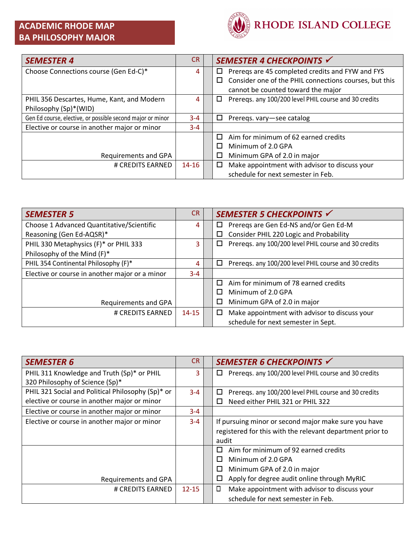## **ACADEMIC RHODE MAP BA PHILOSOPHY MAJOR**



| <b>SEMESTER 4</b>                                          | <b>CR</b> | SEMESTER 4 CHECKPOINTS √                                    |
|------------------------------------------------------------|-----------|-------------------------------------------------------------|
| Choose Connections course (Gen Ed-C)*                      | 4         | Prereqs are 45 completed credits and FYW and FYS<br>□       |
|                                                            |           | Consider one of the PHIL connections courses, but this<br>□ |
|                                                            |           | cannot be counted toward the major                          |
| PHIL 356 Descartes, Hume, Kant, and Modern                 | 4         | Preregs. any 100/200 level PHIL course and 30 credits<br>□  |
| Philosophy (Sp)*(WID)                                      |           |                                                             |
| Gen Ed course, elective, or possible second major or minor | $3 - 4$   | □<br>Preregs. vary-see catalog                              |
| Elective or course in another major or minor               | $3 - 4$   |                                                             |
|                                                            |           | Aim for minimum of 62 earned credits<br>п                   |
|                                                            |           | Minimum of 2.0 GPA<br>П                                     |
| Requirements and GPA                                       |           | Minimum GPA of 2.0 in major<br>$\Box$                       |
| # CREDITS EARNED                                           | $14 - 16$ | Make appointment with advisor to discuss your<br>□          |
|                                                            |           | schedule for next semester in Feb.                          |

| <b>SEMESTER 5</b>                              | <b>CR</b> | SEMESTER 5 CHECKPOINTS √                                   |
|------------------------------------------------|-----------|------------------------------------------------------------|
| Choose 1 Advanced Quantitative/Scientific      | 4         | Preregs are Gen Ed-NS and/or Gen Ed-M<br>□                 |
| Reasoning (Gen Ed-AQSR)*                       |           | Consider PHIL 220 Logic and Probability<br>$\Box$          |
| PHIL 330 Metaphysics (F)* or PHIL 333          | 3         | Prereqs. any 100/200 level PHIL course and 30 credits<br>□ |
| Philosophy of the Mind (F)*                    |           |                                                            |
| PHIL 354 Continental Philosophy (F)*           | 4         | Prereqs. any 100/200 level PHIL course and 30 credits<br>□ |
| Elective or course in another major or a minor | $3 - 4$   |                                                            |
|                                                |           | Aim for minimum of 78 earned credits<br>П                  |
|                                                |           | Minimum of 2.0 GPA<br>П                                    |
| Requirements and GPA                           |           | Minimum GPA of 2.0 in major<br>□                           |
| # CREDITS EARNED                               | $14 - 15$ | Make appointment with advisor to discuss your<br>□         |
|                                                |           | schedule for next semester in Sept.                        |

| <b>SEMESTER 6</b>                                 | CR.       | SEMESTER 6 CHECKPOINTS √                                    |
|---------------------------------------------------|-----------|-------------------------------------------------------------|
| PHIL 311 Knowledge and Truth (Sp)* or PHIL        | 3.        | Preregs. any 100/200 level PHIL course and 30 credits<br>□. |
| 320 Philosophy of Science (Sp)*                   |           |                                                             |
| PHIL 321 Social and Political Philosophy (Sp)* or | $3 - 4$   | Preregs. any 100/200 level PHIL course and 30 credits<br>□  |
| elective or course in another major or minor      |           | Need either PHIL 321 or PHIL 322<br>П                       |
| Elective or course in another major or minor      | $3 - 4$   |                                                             |
| Elective or course in another major or minor      | $3 - 4$   | If pursuing minor or second major make sure you have        |
|                                                   |           | registered for this with the relevant department prior to   |
|                                                   |           | audit                                                       |
|                                                   |           | Aim for minimum of 92 earned credits<br>П                   |
|                                                   |           | Minimum of 2.0 GPA<br>□                                     |
|                                                   |           | □<br>Minimum GPA of 2.0 in major                            |
| Requirements and GPA                              |           | Apply for degree audit online through MyRIC<br>□            |
| # CREDITS EARNED                                  | $12 - 15$ | $\Box$<br>Make appointment with advisor to discuss your     |
|                                                   |           | schedule for next semester in Feb.                          |